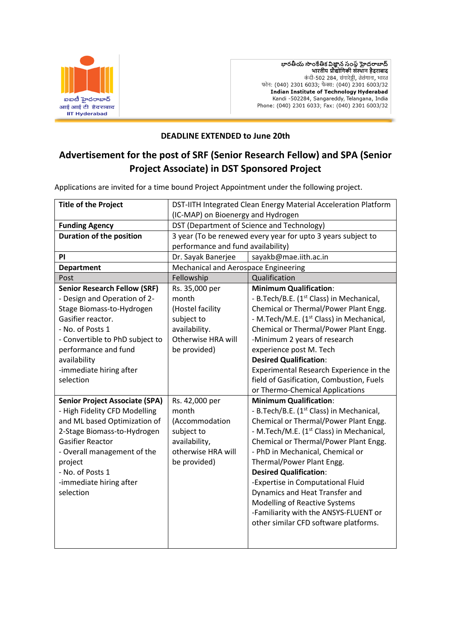

భారతీయ సాంకేతిక విజ్ఞాన సంస్థ హైదరాబాద్<br>भारतीय प्रौद्योगिकी संस्थान हैदराबाद कंदी-502 284, संगारेड्डी, तेलंगाना, भारत फोन: (040) 2301 6033; फैक्स: (040) 2301 6003/32 **Indian Institute of Technology Hyderabad** Kandi -502284, Sangareddy, Telangana, India Phone: (040) 2301 6033; Fax: (040) 2301 6003/32

#### **DEADLINE EXTENDED to June 20th**

# **Advertisement for the post of SRF (Senior Research Fellow) and SPA (Senior Project Associate) in DST Sponsored Project**

Applications are invited for a time bound Project Appointment under the following project.

| <b>Title of the Project</b>           | DST-IITH Integrated Clean Energy Material Acceleration Platform |                                                      |
|---------------------------------------|-----------------------------------------------------------------|------------------------------------------------------|
|                                       | (IC-MAP) on Bioenergy and Hydrogen                              |                                                      |
| <b>Funding Agency</b>                 | DST (Department of Science and Technology)                      |                                                      |
| <b>Duration of the position</b>       | 3 year (To be renewed every year for upto 3 years subject to    |                                                      |
|                                       | performance and fund availability)                              |                                                      |
| PI                                    | Dr. Sayak Banerjee                                              | sayakb@mae.iith.ac.in                                |
| <b>Department</b>                     | Mechanical and Aerospace Engineering                            |                                                      |
| Post                                  | Fellowship                                                      | Qualification                                        |
| <b>Senior Research Fellow (SRF)</b>   | Rs. 35,000 per                                                  | <b>Minimum Qualification:</b>                        |
| - Design and Operation of 2-          | month                                                           | - B.Tech/B.E. (1 <sup>st</sup> Class) in Mechanical, |
| Stage Biomass-to-Hydrogen             | (Hostel facility                                                | Chemical or Thermal/Power Plant Engg.                |
| Gasifier reactor.                     | subject to                                                      | - M.Tech/M.E. (1 <sup>st</sup> Class) in Mechanical, |
| - No. of Posts 1                      | availability.                                                   | Chemical or Thermal/Power Plant Engg.                |
| - Convertible to PhD subject to       | Otherwise HRA will                                              | -Minimum 2 years of research                         |
| performance and fund                  | be provided)                                                    | experience post M. Tech                              |
| availability                          |                                                                 | <b>Desired Qualification:</b>                        |
| -immediate hiring after               |                                                                 | Experimental Research Experience in the              |
| selection                             |                                                                 | field of Gasification, Combustion, Fuels             |
|                                       |                                                                 | or Thermo-Chemical Applications                      |
| <b>Senior Project Associate (SPA)</b> | Rs. 42,000 per                                                  | <b>Minimum Qualification:</b>                        |
| - High Fidelity CFD Modelling         | month                                                           | - B.Tech/B.E. (1 <sup>st</sup> Class) in Mechanical, |
| and ML based Optimization of          | (Accommodation                                                  | Chemical or Thermal/Power Plant Engg.                |
| 2-Stage Biomass-to-Hydrogen           | subject to                                                      | - M.Tech/M.E. (1 <sup>st</sup> Class) in Mechanical, |
| <b>Gasifier Reactor</b>               | availability,                                                   | Chemical or Thermal/Power Plant Engg.                |
| - Overall management of the           | otherwise HRA will                                              | - PhD in Mechanical, Chemical or                     |
| project                               | be provided)                                                    | Thermal/Power Plant Engg.                            |
| - No. of Posts 1                      |                                                                 | <b>Desired Qualification:</b>                        |
| -immediate hiring after               |                                                                 | -Expertise in Computational Fluid                    |
| selection                             |                                                                 | Dynamics and Heat Transfer and                       |
|                                       |                                                                 | <b>Modelling of Reactive Systems</b>                 |
|                                       |                                                                 | -Familiarity with the ANSYS-FLUENT or                |
|                                       |                                                                 | other similar CFD software platforms.                |
|                                       |                                                                 |                                                      |
|                                       |                                                                 |                                                      |